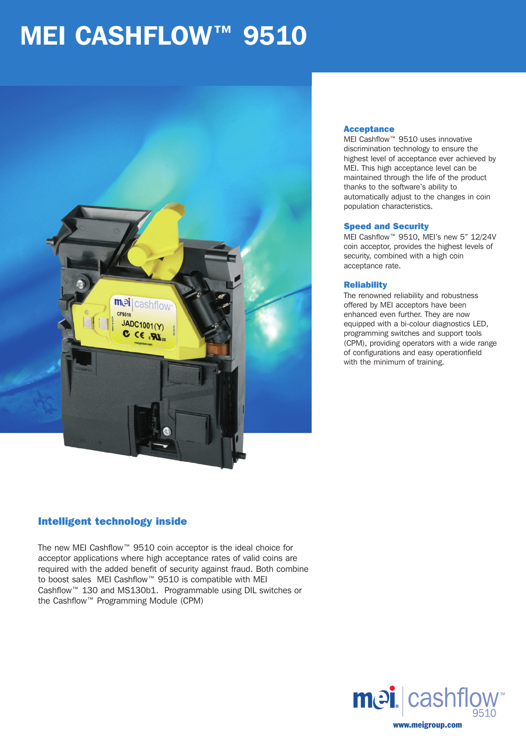## MEI CASHFLOW™ 9510



#### Acceptance

MEI Cashflow™ 9510 uses innovative discrimination technology to ensure the highest level of acceptance ever achieved by MEI. This high acceptance level can be maintained through the life of the product thanks to the software's ability to automatically adjust to the changes in coin population characteristics.

#### Speed and Security

MEI Cashflow™ 9510, MEI's new 5" 12/24V coin acceptor, provides the highest levels of security, combined with a high coin acceptance rate.

#### **Reliability**

The renowned reliability and robustness offered by MEI acceptors have been enhanced even further. They are now equipped with a bi-colour diagnostics LED, programming switches and support tools (CPM), providing operators with a wide range of configurations and easy operationfield with the minimum of training.

## Intelligent technology inside

The new MEI Cashflow™ 9510 coin acceptor is the ideal choice for acceptor applications where high acceptance rates of valid coins are required with the added benefit of security against fraud. Both combine to boost sales MEI Cashflow™ 9510 is compatible with MEI Cashflow™ 130 and MS130b1. Programmable using DIL switches or the Cashflow™ Programming Module (CPM)